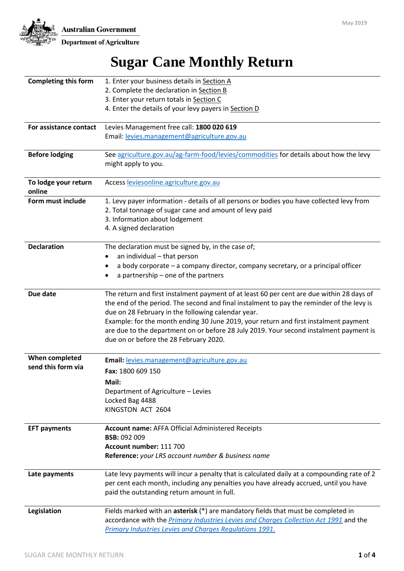# **Sugar Cane Monthly Return**

| <b>Completing this form</b> | 1. Enter your business details in Section A                                                  |  |  |  |  |
|-----------------------------|----------------------------------------------------------------------------------------------|--|--|--|--|
|                             | 2. Complete the declaration in Section B                                                     |  |  |  |  |
|                             | 3. Enter your return totals in Section C                                                     |  |  |  |  |
|                             | 4. Enter the details of your levy payers in Section D                                        |  |  |  |  |
|                             |                                                                                              |  |  |  |  |
| For assistance contact      | Levies Management free call: 1800 020 619                                                    |  |  |  |  |
|                             | Email: levies.management@agriculture.gov.au                                                  |  |  |  |  |
|                             |                                                                                              |  |  |  |  |
| <b>Before lodging</b>       | See agriculture.gov.au/ag-farm-food/levies/commodities for details about how the levy        |  |  |  |  |
|                             | might apply to you.                                                                          |  |  |  |  |
|                             |                                                                                              |  |  |  |  |
| To lodge your return        | Access leviesonline.agriculture.gov.au                                                       |  |  |  |  |
| online                      |                                                                                              |  |  |  |  |
| Form must include           | 1. Levy payer information - details of all persons or bodies you have collected levy from    |  |  |  |  |
|                             | 2. Total tonnage of sugar cane and amount of levy paid                                       |  |  |  |  |
|                             | 3. Information about lodgement                                                               |  |  |  |  |
|                             | 4. A signed declaration                                                                      |  |  |  |  |
|                             |                                                                                              |  |  |  |  |
| <b>Declaration</b>          | The declaration must be signed by, in the case of;                                           |  |  |  |  |
|                             | an individual - that person                                                                  |  |  |  |  |
|                             | a body corporate - a company director, company secretary, or a principal officer<br>٠        |  |  |  |  |
|                             | a partnership - one of the partners                                                          |  |  |  |  |
|                             |                                                                                              |  |  |  |  |
| Due date                    | The return and first instalment payment of at least 60 per cent are due within 28 days of    |  |  |  |  |
|                             | the end of the period. The second and final instalment to pay the reminder of the levy is    |  |  |  |  |
|                             | due on 28 February in the following calendar year.                                           |  |  |  |  |
|                             | Example: for the month ending 30 June 2019, your return and first instalment payment         |  |  |  |  |
|                             | are due to the department on or before 28 July 2019. Your second instalment payment is       |  |  |  |  |
|                             | due on or before the 28 February 2020.                                                       |  |  |  |  |
|                             |                                                                                              |  |  |  |  |
| When completed              | Email: levies.management@agriculture.gov.au                                                  |  |  |  |  |
| send this form via          | Fax: 1800 609 150                                                                            |  |  |  |  |
|                             | Mail:                                                                                        |  |  |  |  |
|                             | Department of Agriculture - Levies                                                           |  |  |  |  |
|                             | Locked Bag 4488                                                                              |  |  |  |  |
|                             | KINGSTON ACT 2604                                                                            |  |  |  |  |
|                             |                                                                                              |  |  |  |  |
| <b>EFT payments</b>         | <b>Account name: AFFA Official Administered Receipts</b>                                     |  |  |  |  |
|                             | <b>BSB: 092 009</b>                                                                          |  |  |  |  |
|                             | Account number: 111 700                                                                      |  |  |  |  |
|                             | Reference: your LRS account number & business name                                           |  |  |  |  |
|                             |                                                                                              |  |  |  |  |
| Late payments               | Late levy payments will incur a penalty that is calculated daily at a compounding rate of 2  |  |  |  |  |
|                             | per cent each month, including any penalties you have already accrued, until you have        |  |  |  |  |
|                             | paid the outstanding return amount in full.                                                  |  |  |  |  |
|                             |                                                                                              |  |  |  |  |
| Legislation                 | Fields marked with an asterisk (*) are mandatory fields that must be completed in            |  |  |  |  |
|                             | accordance with the <i>Primary Industries Levies and Charges Collection Act 1991</i> and the |  |  |  |  |
|                             | Primary Industries Levies and Charges Regulations 1991.                                      |  |  |  |  |
|                             |                                                                                              |  |  |  |  |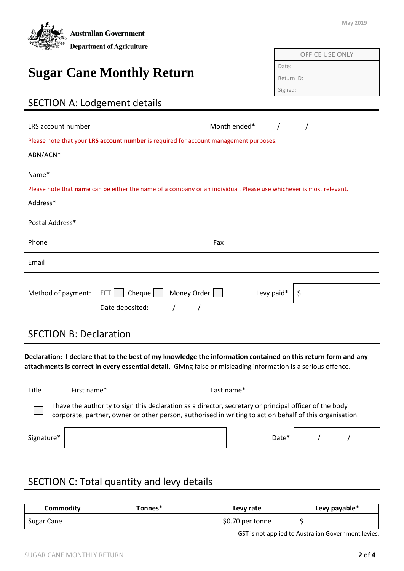| <b>Australian Government</b><br><b>Department of Agriculture</b>                                                   | May 2019         |  |  |  |
|--------------------------------------------------------------------------------------------------------------------|------------------|--|--|--|
|                                                                                                                    | OFFICE USE ONLY  |  |  |  |
|                                                                                                                    | Date:            |  |  |  |
| <b>Sugar Cane Monthly Return</b>                                                                                   | Return ID:       |  |  |  |
|                                                                                                                    | Signed:          |  |  |  |
| <b>SECTION A: Lodgement details</b>                                                                                |                  |  |  |  |
| LRS account number<br>Please note that your LRS account number is required for account management purposes.        | Month ended*     |  |  |  |
| ABN/ACN*                                                                                                           |                  |  |  |  |
| Name*                                                                                                              |                  |  |  |  |
| Please note that name can be either the name of a company or an individual. Please use whichever is most relevant. |                  |  |  |  |
| Address*                                                                                                           |                  |  |  |  |
| Postal Address*                                                                                                    |                  |  |  |  |
| Phone                                                                                                              | Fax              |  |  |  |
| Email                                                                                                              |                  |  |  |  |
| EFT Cheque Money Order<br>Method of payment:                                                                       | Levy paid*<br>\$ |  |  |  |
| <b>SECTION B: Declaration</b>                                                                                      |                  |  |  |  |
| Declaration: I declare that to the best of my knowledge the information contained on this return form and any      |                  |  |  |  |

**attachments is correct in every essential detail.** Giving false or misleading information is a serious offence.

| Title      | First name* | Last name*                                                                                                                                                                                                       |
|------------|-------------|------------------------------------------------------------------------------------------------------------------------------------------------------------------------------------------------------------------|
|            |             | have the authority to sign this declaration as a director, secretary or principal officer of the body<br>corporate, partner, owner or other person, authorised in writing to act on behalf of this organisation. |
| Signature* |             | Date*                                                                                                                                                                                                            |

# SECTION C: Total quantity and levy details

| <b>Commodity</b> | Tonnes* | Levy rate        | Levy payable* |
|------------------|---------|------------------|---------------|
| Sugar Cane       |         | \$0.70 per tonne |               |

GST is not applied to Australian Government levies.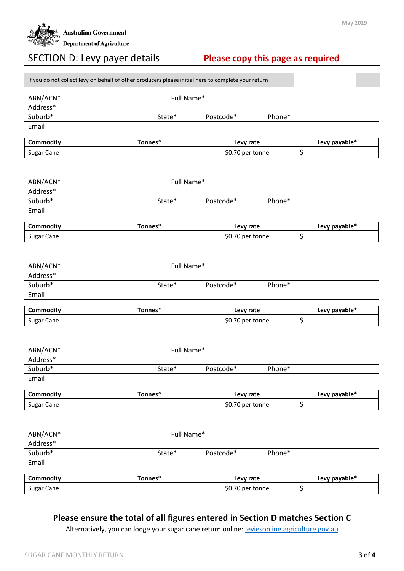

## SECTION D: Levy payer details **Please copy this page as required**

| Full Name*<br>ABN/ACN*<br>Address*<br>Suburb*<br>State*<br>Postcode*<br>Phone*<br>Email<br>Commodity<br>Tonnes*<br>Levy payable*<br>Levy rate<br>\$<br>Sugar Cane<br>\$0.70 per tonne<br>Full Name*<br>ABN/ACN*<br>Address*<br>Suburb*<br>State*<br>Postcode*<br>Phone*<br>Email<br>Tonnes*<br>Commodity<br>Levy rate<br>Levy payable*<br>\$<br>Sugar Cane<br>\$0.70 per tonne<br>Full Name*<br>ABN/ACN*<br>Address*<br>Suburb*<br>State*<br>Postcode*<br>Phone*<br>Email<br>Tonnes*<br>Commodity<br>Levy payable*<br>Levy rate<br>\$<br>Sugar Cane<br>\$0.70 per tonne<br>ABN/ACN*<br>Full Name*<br>Address*<br>Suburb*<br>Postcode*<br>Phone*<br>State*<br>Email<br>Tonnes*<br>Commodity<br>Levy payable*<br>Levy rate<br>\$<br>\$0.70 per tonne<br>Sugar Cane<br>Full Name*<br>ABN/ACN*<br>Address*<br>Suburb*<br>State*<br>Postcode*<br>Phone*<br>Email<br>Tonnes*<br>Levy payable*<br>Commodity<br>Levy rate<br>\$<br>Sugar Cane<br>\$0.70 per tonne | If you do not collect levy on behalf of other producers please initial here to complete your return |  |  |  |  |
|-----------------------------------------------------------------------------------------------------------------------------------------------------------------------------------------------------------------------------------------------------------------------------------------------------------------------------------------------------------------------------------------------------------------------------------------------------------------------------------------------------------------------------------------------------------------------------------------------------------------------------------------------------------------------------------------------------------------------------------------------------------------------------------------------------------------------------------------------------------------------------------------------------------------------------------------------------------|-----------------------------------------------------------------------------------------------------|--|--|--|--|
|                                                                                                                                                                                                                                                                                                                                                                                                                                                                                                                                                                                                                                                                                                                                                                                                                                                                                                                                                           |                                                                                                     |  |  |  |  |
|                                                                                                                                                                                                                                                                                                                                                                                                                                                                                                                                                                                                                                                                                                                                                                                                                                                                                                                                                           |                                                                                                     |  |  |  |  |
|                                                                                                                                                                                                                                                                                                                                                                                                                                                                                                                                                                                                                                                                                                                                                                                                                                                                                                                                                           |                                                                                                     |  |  |  |  |
|                                                                                                                                                                                                                                                                                                                                                                                                                                                                                                                                                                                                                                                                                                                                                                                                                                                                                                                                                           |                                                                                                     |  |  |  |  |
|                                                                                                                                                                                                                                                                                                                                                                                                                                                                                                                                                                                                                                                                                                                                                                                                                                                                                                                                                           |                                                                                                     |  |  |  |  |
|                                                                                                                                                                                                                                                                                                                                                                                                                                                                                                                                                                                                                                                                                                                                                                                                                                                                                                                                                           |                                                                                                     |  |  |  |  |
|                                                                                                                                                                                                                                                                                                                                                                                                                                                                                                                                                                                                                                                                                                                                                                                                                                                                                                                                                           |                                                                                                     |  |  |  |  |
|                                                                                                                                                                                                                                                                                                                                                                                                                                                                                                                                                                                                                                                                                                                                                                                                                                                                                                                                                           |                                                                                                     |  |  |  |  |
|                                                                                                                                                                                                                                                                                                                                                                                                                                                                                                                                                                                                                                                                                                                                                                                                                                                                                                                                                           |                                                                                                     |  |  |  |  |
|                                                                                                                                                                                                                                                                                                                                                                                                                                                                                                                                                                                                                                                                                                                                                                                                                                                                                                                                                           |                                                                                                     |  |  |  |  |
|                                                                                                                                                                                                                                                                                                                                                                                                                                                                                                                                                                                                                                                                                                                                                                                                                                                                                                                                                           |                                                                                                     |  |  |  |  |
|                                                                                                                                                                                                                                                                                                                                                                                                                                                                                                                                                                                                                                                                                                                                                                                                                                                                                                                                                           |                                                                                                     |  |  |  |  |
|                                                                                                                                                                                                                                                                                                                                                                                                                                                                                                                                                                                                                                                                                                                                                                                                                                                                                                                                                           |                                                                                                     |  |  |  |  |
|                                                                                                                                                                                                                                                                                                                                                                                                                                                                                                                                                                                                                                                                                                                                                                                                                                                                                                                                                           |                                                                                                     |  |  |  |  |
|                                                                                                                                                                                                                                                                                                                                                                                                                                                                                                                                                                                                                                                                                                                                                                                                                                                                                                                                                           |                                                                                                     |  |  |  |  |
|                                                                                                                                                                                                                                                                                                                                                                                                                                                                                                                                                                                                                                                                                                                                                                                                                                                                                                                                                           |                                                                                                     |  |  |  |  |
|                                                                                                                                                                                                                                                                                                                                                                                                                                                                                                                                                                                                                                                                                                                                                                                                                                                                                                                                                           |                                                                                                     |  |  |  |  |
|                                                                                                                                                                                                                                                                                                                                                                                                                                                                                                                                                                                                                                                                                                                                                                                                                                                                                                                                                           |                                                                                                     |  |  |  |  |
|                                                                                                                                                                                                                                                                                                                                                                                                                                                                                                                                                                                                                                                                                                                                                                                                                                                                                                                                                           |                                                                                                     |  |  |  |  |
|                                                                                                                                                                                                                                                                                                                                                                                                                                                                                                                                                                                                                                                                                                                                                                                                                                                                                                                                                           |                                                                                                     |  |  |  |  |
|                                                                                                                                                                                                                                                                                                                                                                                                                                                                                                                                                                                                                                                                                                                                                                                                                                                                                                                                                           |                                                                                                     |  |  |  |  |
|                                                                                                                                                                                                                                                                                                                                                                                                                                                                                                                                                                                                                                                                                                                                                                                                                                                                                                                                                           |                                                                                                     |  |  |  |  |
|                                                                                                                                                                                                                                                                                                                                                                                                                                                                                                                                                                                                                                                                                                                                                                                                                                                                                                                                                           |                                                                                                     |  |  |  |  |
|                                                                                                                                                                                                                                                                                                                                                                                                                                                                                                                                                                                                                                                                                                                                                                                                                                                                                                                                                           |                                                                                                     |  |  |  |  |
|                                                                                                                                                                                                                                                                                                                                                                                                                                                                                                                                                                                                                                                                                                                                                                                                                                                                                                                                                           |                                                                                                     |  |  |  |  |
|                                                                                                                                                                                                                                                                                                                                                                                                                                                                                                                                                                                                                                                                                                                                                                                                                                                                                                                                                           |                                                                                                     |  |  |  |  |
|                                                                                                                                                                                                                                                                                                                                                                                                                                                                                                                                                                                                                                                                                                                                                                                                                                                                                                                                                           |                                                                                                     |  |  |  |  |
|                                                                                                                                                                                                                                                                                                                                                                                                                                                                                                                                                                                                                                                                                                                                                                                                                                                                                                                                                           |                                                                                                     |  |  |  |  |
|                                                                                                                                                                                                                                                                                                                                                                                                                                                                                                                                                                                                                                                                                                                                                                                                                                                                                                                                                           |                                                                                                     |  |  |  |  |
|                                                                                                                                                                                                                                                                                                                                                                                                                                                                                                                                                                                                                                                                                                                                                                                                                                                                                                                                                           |                                                                                                     |  |  |  |  |
|                                                                                                                                                                                                                                                                                                                                                                                                                                                                                                                                                                                                                                                                                                                                                                                                                                                                                                                                                           |                                                                                                     |  |  |  |  |
|                                                                                                                                                                                                                                                                                                                                                                                                                                                                                                                                                                                                                                                                                                                                                                                                                                                                                                                                                           |                                                                                                     |  |  |  |  |
|                                                                                                                                                                                                                                                                                                                                                                                                                                                                                                                                                                                                                                                                                                                                                                                                                                                                                                                                                           |                                                                                                     |  |  |  |  |
|                                                                                                                                                                                                                                                                                                                                                                                                                                                                                                                                                                                                                                                                                                                                                                                                                                                                                                                                                           |                                                                                                     |  |  |  |  |
|                                                                                                                                                                                                                                                                                                                                                                                                                                                                                                                                                                                                                                                                                                                                                                                                                                                                                                                                                           |                                                                                                     |  |  |  |  |
|                                                                                                                                                                                                                                                                                                                                                                                                                                                                                                                                                                                                                                                                                                                                                                                                                                                                                                                                                           |                                                                                                     |  |  |  |  |
|                                                                                                                                                                                                                                                                                                                                                                                                                                                                                                                                                                                                                                                                                                                                                                                                                                                                                                                                                           |                                                                                                     |  |  |  |  |
|                                                                                                                                                                                                                                                                                                                                                                                                                                                                                                                                                                                                                                                                                                                                                                                                                                                                                                                                                           |                                                                                                     |  |  |  |  |
|                                                                                                                                                                                                                                                                                                                                                                                                                                                                                                                                                                                                                                                                                                                                                                                                                                                                                                                                                           |                                                                                                     |  |  |  |  |
|                                                                                                                                                                                                                                                                                                                                                                                                                                                                                                                                                                                                                                                                                                                                                                                                                                                                                                                                                           |                                                                                                     |  |  |  |  |
|                                                                                                                                                                                                                                                                                                                                                                                                                                                                                                                                                                                                                                                                                                                                                                                                                                                                                                                                                           |                                                                                                     |  |  |  |  |
|                                                                                                                                                                                                                                                                                                                                                                                                                                                                                                                                                                                                                                                                                                                                                                                                                                                                                                                                                           |                                                                                                     |  |  |  |  |

#### **Please ensure the total of all figures entered in Section D matches Section C**

Alternatively, you can lodge your sugar cane return online: [leviesonline.agriculture.gov.au](https://leviesonline.agriculture.gov.au/)